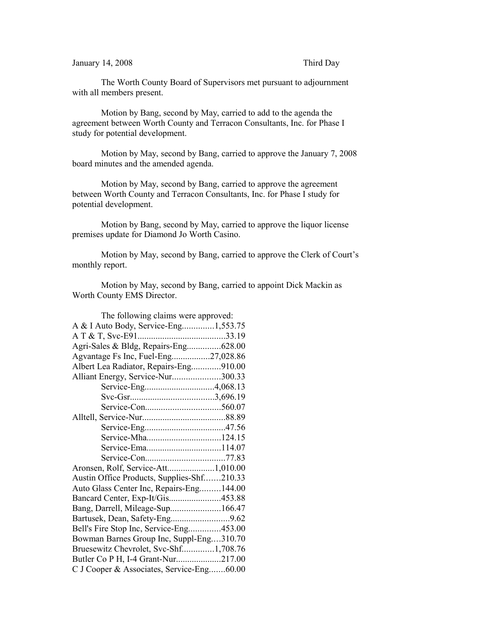## January 14, 2008 Third Day

The Worth County Board of Supervisors met pursuant to adjournment with all members present.

Motion by Bang, second by May, carried to add to the agenda the agreement between Worth County and Terracon Consultants, Inc. for Phase I study for potential development.

Motion by May, second by Bang, carried to approve the January 7, 2008 board minutes and the amended agenda.

Motion by May, second by Bang, carried to approve the agreement between Worth County and Terracon Consultants, Inc. for Phase I study for potential development.

Motion by Bang, second by May, carried to approve the liquor license premises update for Diamond Jo Worth Casino.

Motion by May, second by Bang, carried to approve the Clerk of Court's monthly report.

Motion by May, second by Bang, carried to appoint Dick Mackin as Worth County EMS Director.

| The following claims were approved:        |  |
|--------------------------------------------|--|
| A & I Auto Body, Service-Eng1,553.75       |  |
|                                            |  |
| Agri-Sales & Bldg, Repairs-Eng628.00       |  |
| Agvantage Fs Inc, Fuel-Eng27,028.86        |  |
| Albert Lea Radiator, Repairs-Eng910.00     |  |
| Alliant Energy, Service-Nur300.33          |  |
|                                            |  |
|                                            |  |
|                                            |  |
|                                            |  |
|                                            |  |
|                                            |  |
|                                            |  |
|                                            |  |
| Aronsen, Rolf, Service-Att1,010.00         |  |
| Austin Office Products, Supplies-Shf210.33 |  |
| Auto Glass Center Inc, Repairs-Eng144.00   |  |
| Bancard Center, Exp-It/Gis453.88           |  |
| Bang, Darrell, Mileage-Sup166.47           |  |
|                                            |  |
| Bell's Fire Stop Inc, Service-Eng453.00    |  |
| Bowman Barnes Group Inc, Suppl-Eng310.70   |  |
| Bruesewitz Chevrolet, Svc-Shf1,708.76      |  |
| Butler Co P H, I-4 Grant-Nur217.00         |  |
| C J Cooper & Associates, Service-Eng60.00  |  |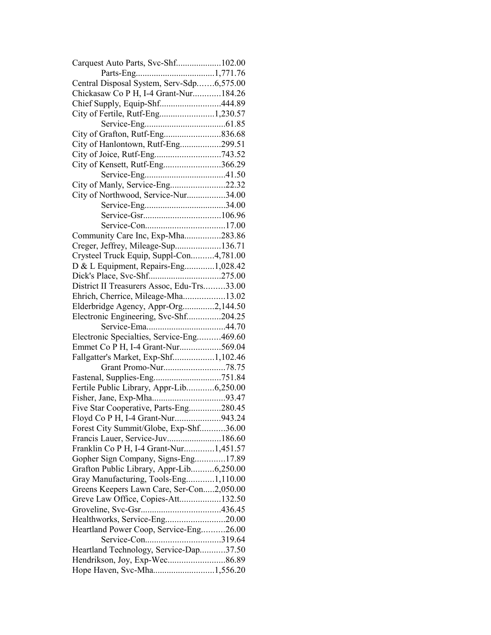| Carquest Auto Parts, Svc-Shf102.00         |  |
|--------------------------------------------|--|
|                                            |  |
| Central Disposal System, Serv-Sdp6,575.00  |  |
| Chickasaw Co P H, I-4 Grant-Nur184.26      |  |
| Chief Supply, Equip-Shf444.89              |  |
| City of Fertile, Rutf-Eng1,230.57          |  |
|                                            |  |
|                                            |  |
| City of Hanlontown, Rutf-Eng299.51         |  |
|                                            |  |
| City of Kensett, Rutf-Eng366.29            |  |
|                                            |  |
| City of Manly, Service-Eng22.32            |  |
| City of Northwood, Service-Nur34.00        |  |
|                                            |  |
|                                            |  |
|                                            |  |
|                                            |  |
| Community Care Inc, Exp-Mha283.86          |  |
| Creger, Jeffrey, Mileage-Sup136.71         |  |
| Crysteel Truck Equip, Suppl-Con4,781.00    |  |
| D & L Equipment, Repairs-Eng1,028.42       |  |
|                                            |  |
| District II Treasurers Assoc, Edu-Trs33.00 |  |
| Ehrich, Cherrice, Mileage-Mha13.02         |  |
| Elderbridge Agency, Appr-Org2,144.50       |  |
| Electronic Engineering, Svc-Shf204.25      |  |
|                                            |  |
| Electronic Specialties, Service-Eng469.60  |  |
| Emmet Co P H, I-4 Grant-Nur569.04          |  |
| Fallgatter's Market, Exp-Shf1,102.46       |  |
|                                            |  |
|                                            |  |
| Fertile Public Library, Appr-Lib6,250.00   |  |
|                                            |  |
| Five Star Cooperative, Parts-Eng280.45     |  |
| Floyd Co P H, I-4 Grant-Nur943.24          |  |
| Forest City Summit/Globe, Exp-Shf36.00     |  |
| Francis Lauer, Service-Juv186.60           |  |
| Franklin Co P H, I-4 Grant-Nur1,451.57     |  |
| Gopher Sign Company, Signs-Eng17.89        |  |
| Grafton Public Library, Appr-Lib6,250.00   |  |
| Gray Manufacturing, Tools-Eng1,110.00      |  |
| Greens Keepers Lawn Care, Ser-Con2,050.00  |  |
| Greve Law Office, Copies-Att132.50         |  |
|                                            |  |
| Healthworks, Service-Eng20.00              |  |
| Heartland Power Coop, Service-Eng26.00     |  |
|                                            |  |
| Heartland Technology, Service-Dap37.50     |  |
|                                            |  |
|                                            |  |
| Hope Haven, Svc-Mha1,556.20                |  |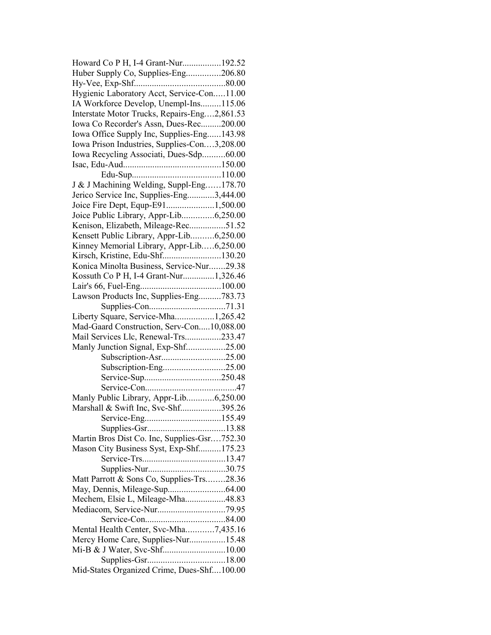| Huber Supply Co, Supplies-Eng206.80<br>Hygienic Laboratory Acct, Service-Con11.00<br>IA Workforce Develop, Unempl-Ins115.06<br>Interstate Motor Trucks, Repairs-Eng2,861.53 |  |
|-----------------------------------------------------------------------------------------------------------------------------------------------------------------------------|--|
|                                                                                                                                                                             |  |
|                                                                                                                                                                             |  |
|                                                                                                                                                                             |  |
|                                                                                                                                                                             |  |
|                                                                                                                                                                             |  |
| Iowa Co Recorder's Assn, Dues-Rec200.00                                                                                                                                     |  |
| Iowa Office Supply Inc, Supplies-Eng143.98                                                                                                                                  |  |
| Iowa Prison Industries, Supplies-Con3,208.00                                                                                                                                |  |
| Iowa Recycling Associati, Dues-Sdp60.00                                                                                                                                     |  |
|                                                                                                                                                                             |  |
|                                                                                                                                                                             |  |
| J & J Machining Welding, Suppl-Eng178.70                                                                                                                                    |  |
| Jerico Service Inc, Supplies-Eng3,444.00                                                                                                                                    |  |
| Joice Fire Dept, Equp-E911,500.00                                                                                                                                           |  |
| Joice Public Library, Appr-Lib6,250.00                                                                                                                                      |  |
| Kenison, Elizabeth, Mileage-Rec51.52                                                                                                                                        |  |
| Kensett Public Library, Appr-Lib6,250.00                                                                                                                                    |  |
|                                                                                                                                                                             |  |
| Kinney Memorial Library, Appr-Lib6,250.00                                                                                                                                   |  |
| Kirsch, Kristine, Edu-Shf130.20                                                                                                                                             |  |
| Konica Minolta Business, Service-Nur29.38                                                                                                                                   |  |
| Kossuth Co P H, I-4 Grant-Nur1,326.46                                                                                                                                       |  |
|                                                                                                                                                                             |  |
| Lawson Products Inc, Supplies-Eng783.73                                                                                                                                     |  |
|                                                                                                                                                                             |  |
| Liberty Square, Service-Mha1,265.42                                                                                                                                         |  |
| Mad-Gaard Construction, Serv-Con10,088.00                                                                                                                                   |  |
| Mail Services Llc, Renewal-Trs233.47                                                                                                                                        |  |
| Manly Junction Signal, Exp-Shf25.00                                                                                                                                         |  |
| Subscription-Asr25.00                                                                                                                                                       |  |
|                                                                                                                                                                             |  |
| Subscription-Eng25.00                                                                                                                                                       |  |
|                                                                                                                                                                             |  |
|                                                                                                                                                                             |  |
| Manly Public Library, Appr-Lib6,250.00                                                                                                                                      |  |
| Marshall & Swift Inc, Svc-Shf395.26                                                                                                                                         |  |
|                                                                                                                                                                             |  |
|                                                                                                                                                                             |  |
|                                                                                                                                                                             |  |
| Martin Bros Dist Co. Inc, Supplies-Gsr752.30                                                                                                                                |  |
| Mason City Business Syst, Exp-Shf175.23                                                                                                                                     |  |
|                                                                                                                                                                             |  |
|                                                                                                                                                                             |  |
| Matt Parrott & Sons Co, Supplies-Trs28.36                                                                                                                                   |  |
|                                                                                                                                                                             |  |
| Mechem, Elsie L, Mileage-Mha48.83                                                                                                                                           |  |
|                                                                                                                                                                             |  |
|                                                                                                                                                                             |  |
| Mental Health Center, Svc-Mha7,435.16                                                                                                                                       |  |
| Mercy Home Care, Supplies-Nur15.48                                                                                                                                          |  |
|                                                                                                                                                                             |  |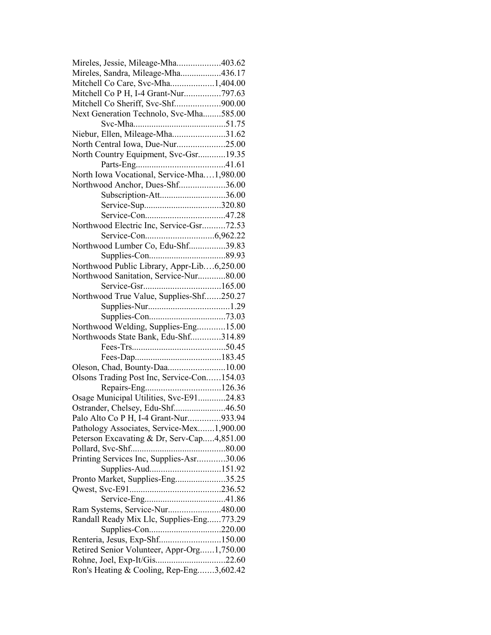| Mireles, Jessie, Mileage-Mha403.62         |  |
|--------------------------------------------|--|
| Mireles, Sandra, Mileage-Mha436.17         |  |
| Mitchell Co Care, Svc-Mha1,404.00          |  |
| Mitchell Co P H, I-4 Grant-Nur797.63       |  |
| Mitchell Co Sheriff, Svc-Shf900.00         |  |
| Next Generation Technolo, Svc-Mha585.00    |  |
|                                            |  |
| Niebur, Ellen, Mileage-Mha31.62            |  |
| North Central Iowa, Due-Nur25.00           |  |
| North Country Equipment, Svc-Gsr19.35      |  |
|                                            |  |
| North Iowa Vocational, Service-Mha1,980.00 |  |
|                                            |  |
| Northwood Anchor, Dues-Shf36.00            |  |
| Subscription-Att36.00                      |  |
| Service-Sup320.80                          |  |
|                                            |  |
| Northwood Electric Inc, Service-Gsr72.53   |  |
|                                            |  |
| Northwood Lumber Co, Edu-Shf39.83          |  |
|                                            |  |
| Northwood Public Library, Appr-Lib6,250.00 |  |
| Northwood Sanitation, Service-Nur80.00     |  |
|                                            |  |
| Northwood True Value, Supplies-Shf250.27   |  |
|                                            |  |
|                                            |  |
| Northwood Welding, Supplies-Eng15.00       |  |
| Northwoods State Bank, Edu-Shf314.89       |  |
|                                            |  |
|                                            |  |
| Oleson, Chad, Bounty-Daa10.00              |  |
| Olsons Trading Post Inc, Service-Con154.03 |  |
|                                            |  |
|                                            |  |
| Osage Municipal Utilities, Svc-E9124.83    |  |
| Ostrander, Chelsey, Edu-Shf46.50           |  |
| Palo Alto Co P H, I-4 Grant-Nur933.94      |  |
| Pathology Associates, Service-Mex1,900.00  |  |
| Peterson Excavating & Dr, Serv-Cap4,851.00 |  |
|                                            |  |
| Printing Services Inc, Supplies-Asr30.06   |  |
| Supplies-Aud151.92                         |  |
| Pronto Market, Supplies-Eng35.25           |  |
|                                            |  |
|                                            |  |
| Ram Systems, Service-Nur480.00             |  |
| Randall Ready Mix Llc, Supplies-Eng773.29  |  |
| Supplies-Con220.00                         |  |
| Renteria, Jesus, Exp-Shf150.00             |  |
| Retired Senior Volunteer, Appr-Org1,750.00 |  |
| Rohne, Joel, Exp-It/Gis22.60               |  |
|                                            |  |
| Ron's Heating & Cooling, Rep-Eng3,602.42   |  |